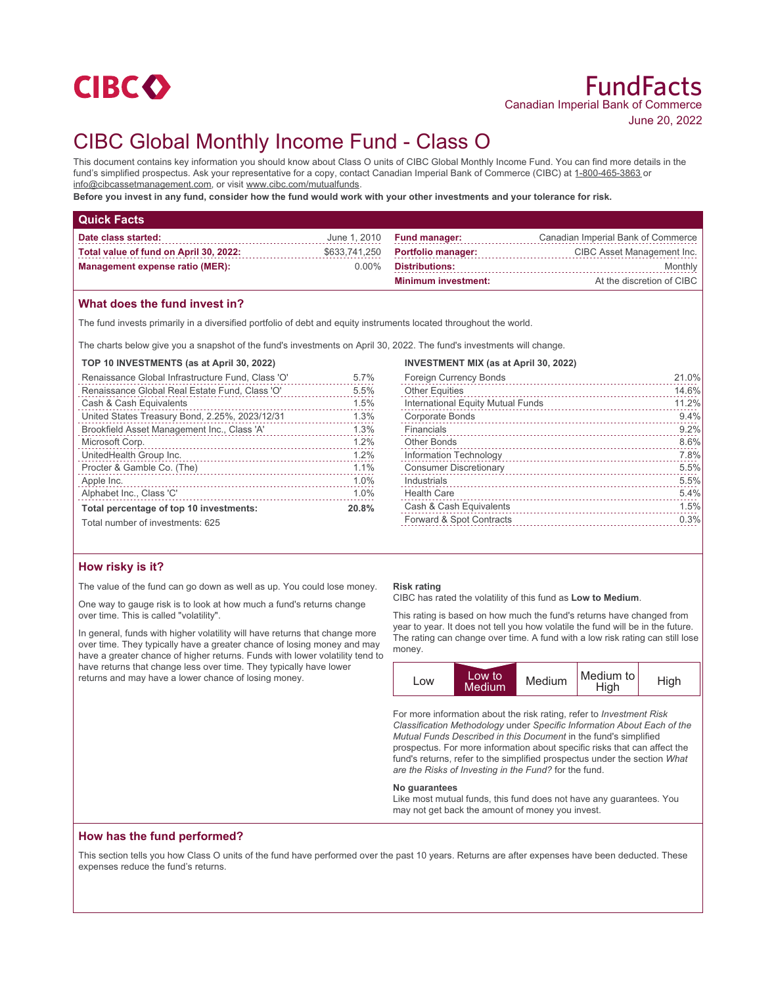

# CIBC Global Monthly Income Fund - Class O

This document contains key information you should know about Class O units of CIBC Global Monthly Income Fund. You can find more details in the fund's simplified prospectus. Ask your representative for a copy, contact Canadian Imperial Bank of Commerce (CIBC) at 1-800-465-3863 or info@cibcassetmanagement.com, or visit www.cibc.com/mutualfunds.

**Before you invest in any fund, consider how the fund would work with your other investments and your tolerance for risk.**

| <b>Quick Facts</b>                     |          |                                  |                                    |
|----------------------------------------|----------|----------------------------------|------------------------------------|
| Date class started:                    |          | June $1,2010$ Fund manager:      | Canadian Imperial Bank of Commerce |
| Total value of fund on April 30, 2022: |          | \$633,741,250 Portfolio manager: | CIBC Asset Management Inc.         |
| <b>Management expense ratio (MER):</b> | $0.00\%$ | <b>Distributions:</b>            | Monthly                            |
|                                        |          | <b>Minimum investment:</b>       | At the discretion of CIBC          |

## **What does the fund invest in?**

The fund invests primarily in a diversified portfolio of debt and equity instruments located throughout the world.

The charts below give you a snapshot of the fund's investments on April 30, 2022. The fund's investments will change.

#### **TOP 10 INVESTMENTS (as at April 30, 2022)**

| Renaissance Global Infrastructure Fund, Class 'O' | 5.7%  |
|---------------------------------------------------|-------|
| Renaissance Global Real Estate Fund, Class 'O'    | 5.5%  |
| Cash & Cash Equivalents                           | 1.5%  |
| United States Treasury Bond, 2.25%, 2023/12/31    | 1.3%  |
| Brookfield Asset Management Inc., Class 'A'       | 1.3%  |
| Microsoft Corp.                                   | 1.2%  |
| UnitedHealth Group Inc.                           | 1.2%  |
| Procter & Gamble Co. (The)                        | 1.1%  |
| Apple Inc.                                        | 1.0%  |
| Alphabet Inc., Class 'C'                          | 1.0%  |
| Total percentage of top 10 investments:           | 20.8% |
| Total number of investments: 625                  |       |

# **INVESTMENT MIX (as at April 30, 2022)** Foreign Currency Bonds 21.0%

| <b>Other Equities</b>             | 14.6% |
|-----------------------------------|-------|
| International Equity Mutual Funds | 11.2% |
| <b>Corporate Bonds</b>            | 9.4%  |
| Financials                        | 9.2%  |
| <b>Other Bonds</b>                | 8.6%  |
| Information Technology            | 7.8%  |
| <b>Consumer Discretionary</b>     | 5.5%  |
| Industrials                       | 5.5%  |
| <b>Health Care</b>                | 5.4%  |
| Cash & Cash Equivalents           | 1.5%  |
| Forward & Spot Contracts          | 0.3%  |
|                                   |       |

## **How risky is it?**

The value of the fund can go down as well as up. You could lose money.

One way to gauge risk is to look at how much a fund's returns change over time. This is called "volatility".

In general, funds with higher volatility will have returns that change more over time. They typically have a greater chance of losing money and may have a greater chance of higher returns. Funds with lower volatility tend to have returns that change less over time. They typically have lower returns and may have a lower chance of losing money.

#### **Risk rating**

CIBC has rated the volatility of this fund as **Low to Medium**.

This rating is based on how much the fund's returns have changed from year to year. It does not tell you how volatile the fund will be in the future. The rating can change over time. A fund with a low risk rating can still lose money.



For more information about the risk rating, refer to *Investment Risk Classification Methodology* under *Specific Information About Each of the Mutual Funds Described in this Document* in the fund's simplified prospectus. For more information about specific risks that can affect the fund's returns, refer to the simplified prospectus under the section *What are the Risks of Investing in the Fund?* for the fund.

#### **No guarantees**

Like most mutual funds, this fund does not have any guarantees. You may not get back the amount of money you invest.

## **How has the fund performed?**

This section tells you how Class O units of the fund have performed over the past 10 years. Returns are after expenses have been deducted. These expenses reduce the fund's returns.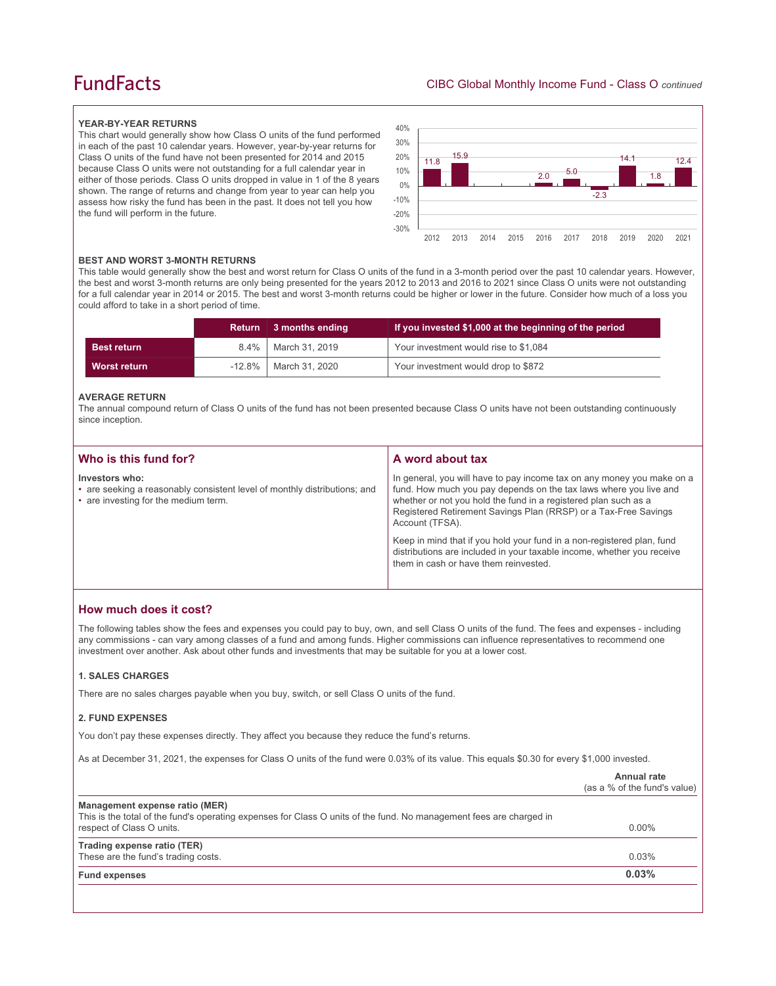# **FundFacts**

#### **YEAR-BY-YEAR RETURNS**

This chart would generally show how Class O units of the fund performed in each of the past 10 calendar years. However, year-by-year returns for Class O units of the fund have not been presented for 2014 and 2015 because Class O units were not outstanding for a full calendar year in either of those periods. Class O units dropped in value in 1 of the 8 years shown. The range of returns and change from year to year can help you assess how risky the fund has been in the past. It does not tell you how the fund will perform in the future.



#### **BEST AND WORST 3-MONTH RETURNS**

This table would generally show the best and worst return for Class O units of the fund in a 3-month period over the past 10 calendar years. However, the best and worst 3-month returns are only being presented for the years 2012 to 2013 and 2016 to 2021 since Class O units were not outstanding for a full calendar year in 2014 or 2015. The best and worst 3-month returns could be higher or lower in the future. Consider how much of a loss you could afford to take in a short period of time.

|                     | <b>Return</b> | 3 months ending | If you invested \$1,000 at the beginning of the period |
|---------------------|---------------|-----------------|--------------------------------------------------------|
| <b>Best return</b>  | $8.4\%$       | March 31, 2019  | Your investment would rise to \$1,084                  |
| <b>Worst return</b> | $-12.8\%$     | March 31, 2020  | Your investment would drop to \$872                    |

#### **AVERAGE RETURN**

The annual compound return of Class O units of the fund has not been presented because Class O units have not been outstanding continuously since inception.

| Who is this fund for?                                                                                                               | A word about tax                                                                                                                                                                                                                                                                                     |
|-------------------------------------------------------------------------------------------------------------------------------------|------------------------------------------------------------------------------------------------------------------------------------------------------------------------------------------------------------------------------------------------------------------------------------------------------|
| Investors who:<br>• are seeking a reasonably consistent level of monthly distributions; and<br>• are investing for the medium term. | In general, you will have to pay income tax on any money you make on a<br>fund. How much you pay depends on the tax laws where you live and<br>whether or not you hold the fund in a registered plan such as a<br>Registered Retirement Savings Plan (RRSP) or a Tax-Free Savings<br>Account (TFSA). |
|                                                                                                                                     | Keep in mind that if you hold your fund in a non-registered plan, fund<br>distributions are included in your taxable income, whether you receive<br>them in cash or have them reinvested.                                                                                                            |

## **How much does it cost?**

The following tables show the fees and expenses you could pay to buy, own, and sell Class O units of the fund. The fees and expenses - including any commissions - can vary among classes of a fund and among funds. Higher commissions can influence representatives to recommend one investment over another. Ask about other funds and investments that may be suitable for you at a lower cost.

## **1. SALES CHARGES**

There are no sales charges payable when you buy, switch, or sell Class O units of the fund.

#### **2. FUND EXPENSES**

You don't pay these expenses directly. They affect you because they reduce the fund's returns.

As at December 31, 2021, the expenses for Class O units of the fund were 0.03% of its value. This equals \$0.30 for every \$1,000 invested.

|                                                                                                                                                                                    | Annual rate<br>(as a % of the fund's value) |
|------------------------------------------------------------------------------------------------------------------------------------------------------------------------------------|---------------------------------------------|
| Management expense ratio (MER)<br>This is the total of the fund's operating expenses for Class O units of the fund. No management fees are charged in<br>respect of Class O units. | $0.00\%$                                    |
| Trading expense ratio (TER)<br>These are the fund's trading costs.                                                                                                                 | 0.03%                                       |
| <b>Fund expenses</b>                                                                                                                                                               | 0.03%                                       |